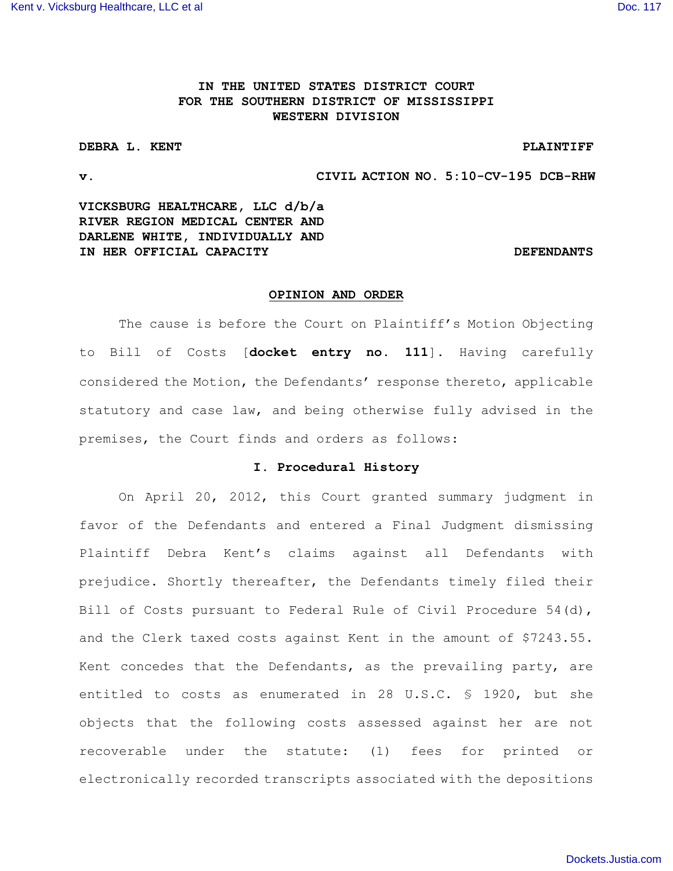# **IN THE UNITED STATES DISTRICT COURT FOR THE SOUTHERN DISTRICT OF MISSISSIPPI WESTERN DIVISION**

## **DEBRA L. KENT PLAINTIFF**

**v. CIVIL ACTION NO. 5:10-CV-195 DCB-RHW**

**VICKSBURG HEALTHCARE, LLC d/b/a RIVER REGION MEDICAL CENTER AND DARLENE WHITE, INDIVIDUALLY AND IN HER OFFICIAL CAPACITY DEFENDANTS** 

## **OPINION AND ORDER**

The cause is before the Court on Plaintiff's Motion Objecting to Bill of Costs [**docket entry no. 111**]. Having carefully considered the Motion, the Defendants' response thereto, applicable statutory and case law, and being otherwise fully advised in the premises, the Court finds and orders as follows:

## **I. Procedural History**

On April 20, 2012, this Court granted summary judgment in favor of the Defendants and entered a Final Judgment dismissing Plaintiff Debra Kent's claims against all Defendants with prejudice. Shortly thereafter, the Defendants timely filed their Bill of Costs pursuant to Federal Rule of Civil Procedure 54(d), and the Clerk taxed costs against Kent in the amount of \$7243.55. Kent concedes that the Defendants, as the prevailing party, are entitled to costs as enumerated in 28 U.S.C. § 1920, but she objects that the following costs assessed against her are not recoverable under the statute: (1) fees for printed or electronically recorded transcripts associated with the depositions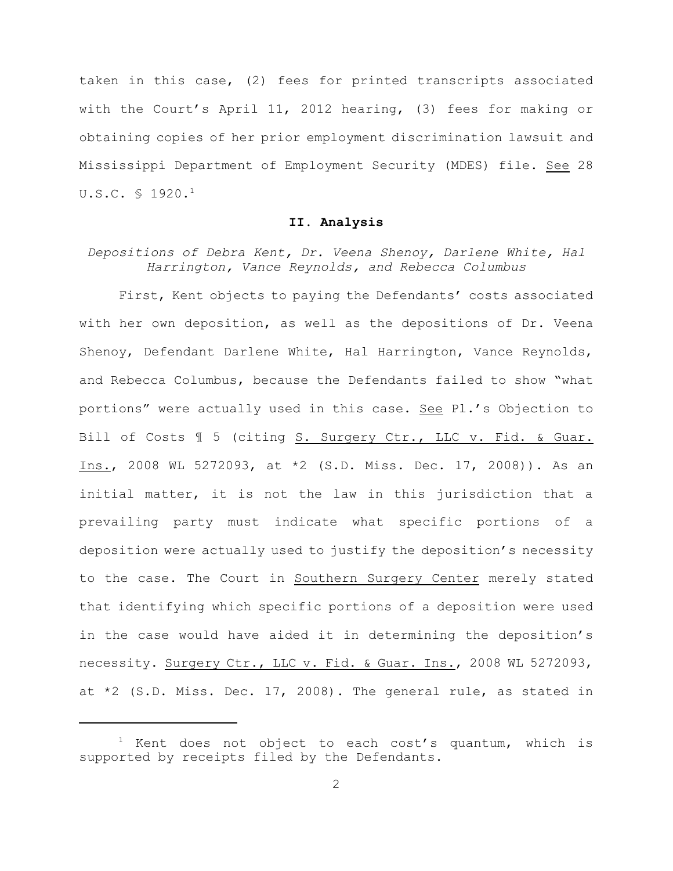taken in this case, (2) fees for printed transcripts associated with the Court's April 11, 2012 hearing, (3) fees for making or obtaining copies of her prior employment discrimination lawsuit and Mississippi Department of Employment Security (MDES) file. See 28 U.S.C. § 1920.<sup>1</sup>

#### **II. Analysis**

*Depositions of Debra Kent, Dr. Veena Shenoy, Darlene White, Hal Harrington, Vance Reynolds, and Rebecca Columbus*

First, Kent objects to paying the Defendants' costs associated with her own deposition, as well as the depositions of Dr. Veena Shenoy, Defendant Darlene White, Hal Harrington, Vance Reynolds, and Rebecca Columbus, because the Defendants failed to show "what portions" were actually used in this case. See Pl.'s Objection to Bill of Costs  $\mathbb I$  5 (citing S. Surgery Ctr., LLC v. Fid. & Guar. Ins., 2008 WL 5272093, at \*2 (S.D. Miss. Dec. 17, 2008)). As an initial matter, it is not the law in this jurisdiction that a prevailing party must indicate what specific portions of a deposition were actually used to justify the deposition's necessity to the case. The Court in Southern Surgery Center merely stated that identifying which specific portions of a deposition were used in the case would have aided it in determining the deposition's necessity. Surgery Ctr., LLC v. Fid. & Guar. Ins., 2008 WL 5272093, at \*2 (S.D. Miss. Dec. 17, 2008). The general rule, as stated in

 $1$  Kent does not object to each cost's quantum, which is supported by receipts filed by the Defendants.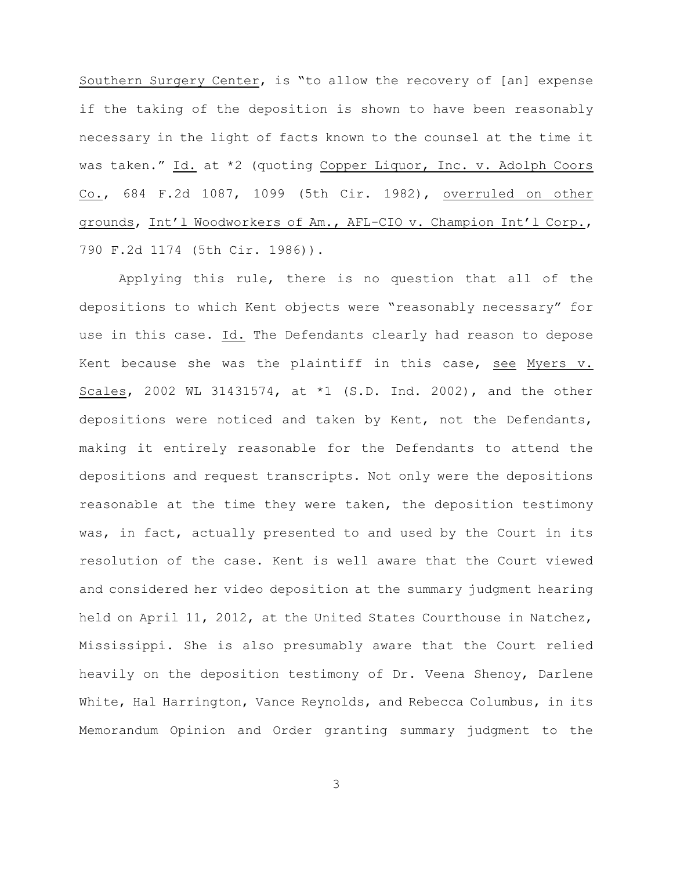Southern Surgery Center, is "to allow the recovery of [an] expense if the taking of the deposition is shown to have been reasonably necessary in the light of facts known to the counsel at the time it was taken." Id. at \*2 (quoting Copper Liquor, Inc. v. Adolph Coors Co., 684 F.2d 1087, 1099 (5th Cir. 1982), overruled on other grounds, Int'l Woodworkers of Am., AFL-CIO v. Champion Int'l Corp., 790 F.2d 1174 (5th Cir. 1986)).

Applying this rule, there is no question that all of the depositions to which Kent objects were "reasonably necessary" for use in this case. Id. The Defendants clearly had reason to depose Kent because she was the plaintiff in this case, see Myers v. Scales, 2002 WL 31431574, at \*1 (S.D. Ind. 2002), and the other depositions were noticed and taken by Kent, not the Defendants, making it entirely reasonable for the Defendants to attend the depositions and request transcripts. Not only were the depositions reasonable at the time they were taken, the deposition testimony was, in fact, actually presented to and used by the Court in its resolution of the case. Kent is well aware that the Court viewed and considered her video deposition at the summary judgment hearing held on April 11, 2012, at the United States Courthouse in Natchez, Mississippi. She is also presumably aware that the Court relied heavily on the deposition testimony of Dr. Veena Shenoy, Darlene White, Hal Harrington, Vance Reynolds, and Rebecca Columbus, in its Memorandum Opinion and Order granting summary judgment to the

3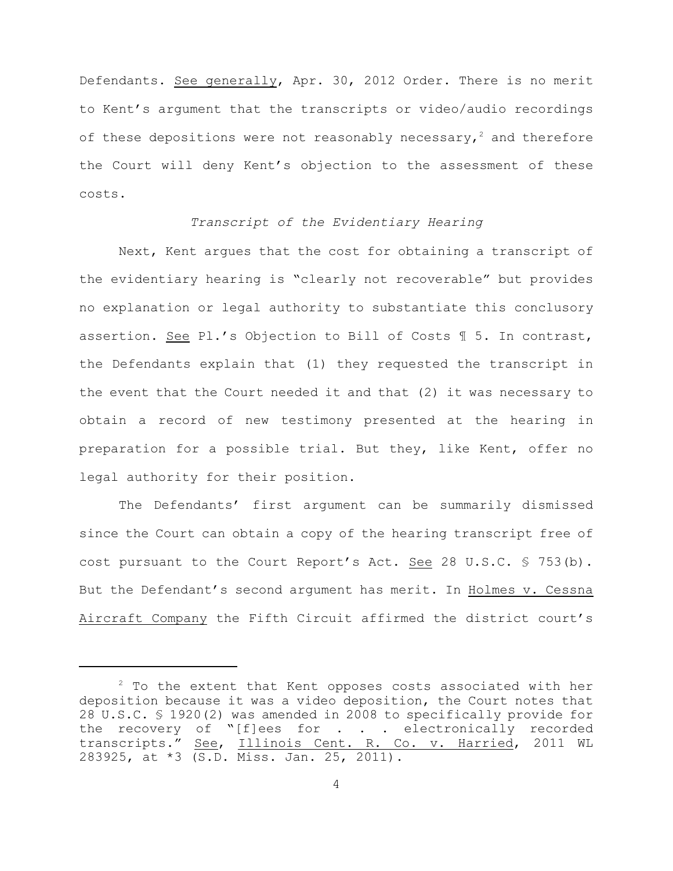Defendants. See generally, Apr. 30, 2012 Order. There is no merit to Kent's argument that the transcripts or video/audio recordings of these depositions were not reasonably necessary,<sup>2</sup> and therefore the Court will deny Kent's objection to the assessment of these costs.

### *Transcript of the Evidentiary Hearing*

Next, Kent argues that the cost for obtaining a transcript of the evidentiary hearing is "clearly not recoverable" but provides no explanation or legal authority to substantiate this conclusory assertion. See Pl.'s Objection to Bill of Costs ¶ 5. In contrast, the Defendants explain that (1) they requested the transcript in the event that the Court needed it and that (2) it was necessary to obtain a record of new testimony presented at the hearing in preparation for a possible trial. But they, like Kent, offer no legal authority for their position.

The Defendants' first argument can be summarily dismissed since the Court can obtain a copy of the hearing transcript free of cost pursuant to the Court Report's Act. See 28 U.S.C. § 753(b). But the Defendant's second argument has merit. In Holmes v. Cessna Aircraft Company the Fifth Circuit affirmed the district court's

 $2$  To the extent that Kent opposes costs associated with her deposition because it was a video deposition, the Court notes that 28 U.S.C. § 1920(2) was amended in 2008 to specifically provide for the recovery of "[f]ees for . . . electronically recorded transcripts." See, Illinois Cent. R. Co. v. Harried, 2011 WL 283925, at \*3 (S.D. Miss. Jan. 25, 2011).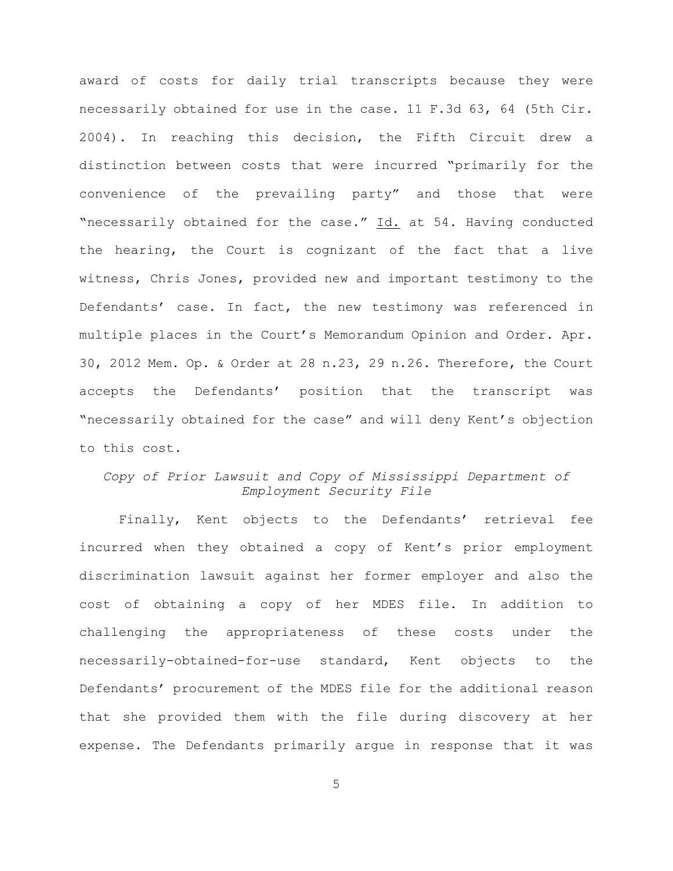award of costs for daily trial transcripts because they were necessarily obtained for use in the case. 11 F.3d 63, 64 (5th Cir. 2004). In reaching this decision, the Fifth Circuit drew a distinction between costs that were incurred "primarily for the convenience of the prevailing party" and those that were "necessarily obtained for the case." Id. at 54. Having conducted the hearing, the Court is cognizant of the fact that a live witness, Chris Jones, provided new and important testimony to the Defendants' case. In fact, the new testimony was referenced in multiple places in the Court's Memorandum Opinion and Order. Apr. 30, 2012 Mem. Op. & Order at 28 n.23, 29 n.26. Therefore, the Court accepts the Defendants' position that the transcript was "necessarily obtained for the case" and will deny Kent's objection to this cost.

## *Copy of Prior Lawsuit and Copy of Mississippi Department of Employment Security File*

Finally, Kent objects to the Defendants' retrieval fee incurred when they obtained a copy of Kent's prior employment discrimination lawsuit against her former employer and also the cost of obtaining a copy of her MDES file. In addition to challenging the appropriateness of these costs under the necessarily-obtained-for-use standard, Kent objects to the Defendants' procurement of the MDES file for the additional reason that she provided them with the file during discovery at her expense. The Defendants primarily argue in response that it was

5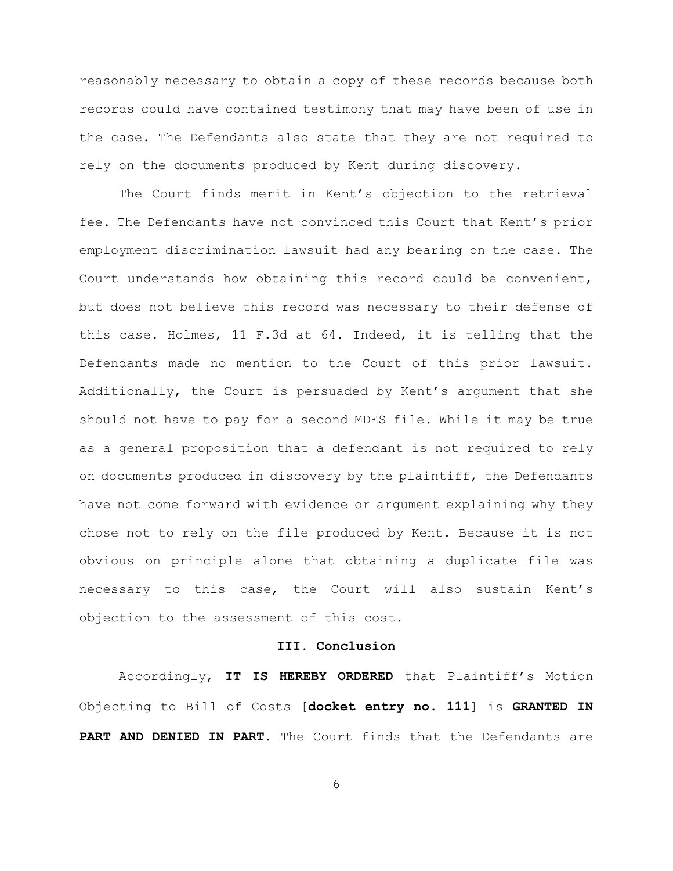reasonably necessary to obtain a copy of these records because both records could have contained testimony that may have been of use in the case. The Defendants also state that they are not required to rely on the documents produced by Kent during discovery.

The Court finds merit in Kent's objection to the retrieval fee. The Defendants have not convinced this Court that Kent's prior employment discrimination lawsuit had any bearing on the case. The Court understands how obtaining this record could be convenient, but does not believe this record was necessary to their defense of this case. Holmes, 11 F.3d at 64. Indeed, it is telling that the Defendants made no mention to the Court of this prior lawsuit. Additionally, the Court is persuaded by Kent's argument that she should not have to pay for a second MDES file. While it may be true as a general proposition that a defendant is not required to rely on documents produced in discovery by the plaintiff, the Defendants have not come forward with evidence or argument explaining why they chose not to rely on the file produced by Kent. Because it is not obvious on principle alone that obtaining a duplicate file was necessary to this case, the Court will also sustain Kent's objection to the assessment of this cost.

## **III. Conclusion**

Accordingly, **IT IS HEREBY ORDERED** that Plaintiff's Motion Objecting to Bill of Costs [**docket entry no. 111**] is **GRANTED IN PART AND DENIED IN PART**. The Court finds that the Defendants are

6